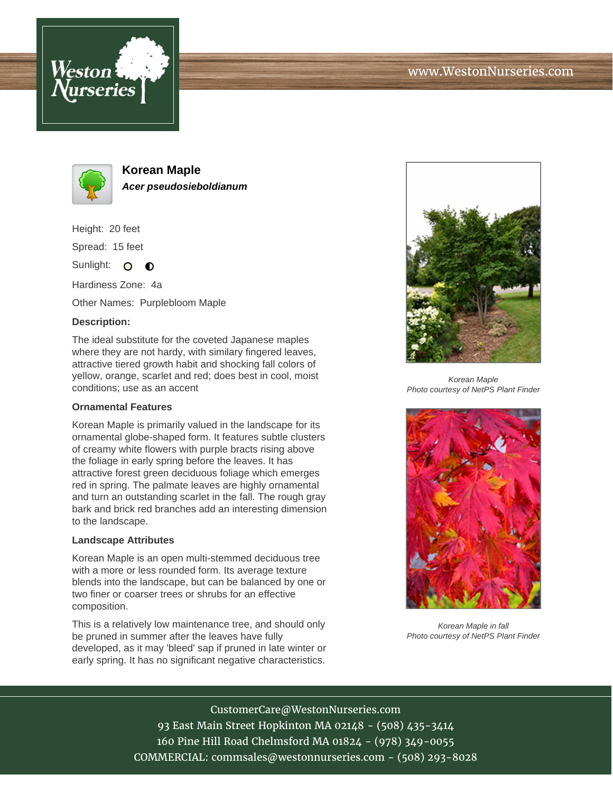



**Korean Maple Acer pseudosieboldianum**

Height: 20 feet

Spread: 15 feet

Sunlight: O  $\bullet$ 

Hardiness Zone: 4a

Other Names: Purplebloom Maple

## **Description:**

The ideal substitute for the coveted Japanese maples where they are not hardy, with similary fingered leaves, attractive tiered growth habit and shocking fall colors of yellow, orange, scarlet and red; does best in cool, moist conditions; use as an accent

## **Ornamental Features**

Korean Maple is primarily valued in the landscape for its ornamental globe-shaped form. It features subtle clusters of creamy white flowers with purple bracts rising above the foliage in early spring before the leaves. It has attractive forest green deciduous foliage which emerges red in spring. The palmate leaves are highly ornamental and turn an outstanding scarlet in the fall. The rough gray bark and brick red branches add an interesting dimension to the landscape.

## **Landscape Attributes**

Korean Maple is an open multi-stemmed deciduous tree with a more or less rounded form. Its average texture blends into the landscape, but can be balanced by one or two finer or coarser trees or shrubs for an effective composition.

This is a relatively low maintenance tree, and should only be pruned in summer after the leaves have fully developed, as it may 'bleed' sap if pruned in late winter or early spring. It has no significant negative characteristics.



Korean Maple Photo courtesy of NetPS Plant Finder



Korean Maple in fall Photo courtesy of NetPS Plant Finder

CustomerCare@WestonNurseries.com 93 East Main Street Hopkinton MA 02148 - (508) 435-3414 160 Pine Hill Road Chelmsford MA 01824 - (978) 349-0055 COMMERCIAL: commsales@westonnurseries.com - (508) 293-8028